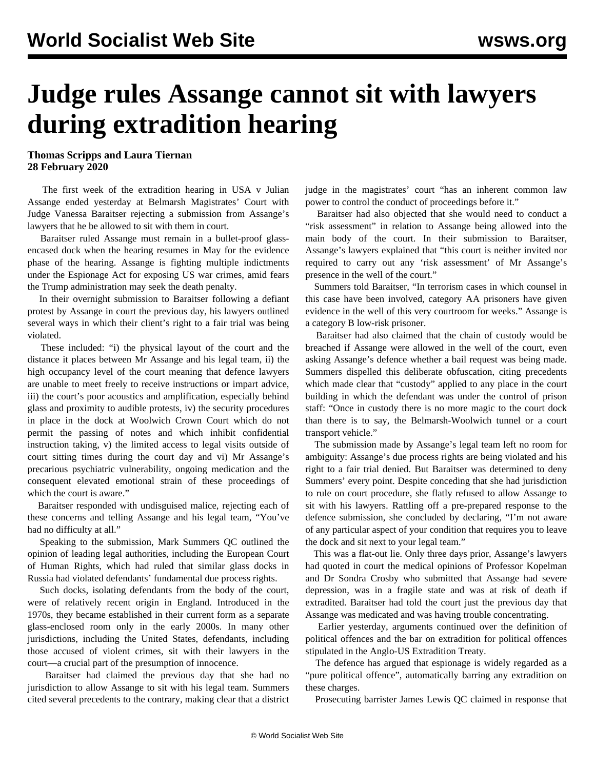## **Judge rules Assange cannot sit with lawyers during extradition hearing**

## **Thomas Scripps and Laura Tiernan 28 February 2020**

 The first week of the extradition hearing in USA v Julian Assange ended yesterday at Belmarsh Magistrates' Court with Judge Vanessa Baraitser rejecting a submission from Assange's lawyers that he be allowed to sit with them in court.

 Baraitser ruled Assange must remain in a bullet-proof glassencased dock when the hearing resumes in May for the evidence phase of the hearing. Assange is fighting multiple indictments under the Espionage Act for exposing US war crimes, amid fears the Trump administration may seek the death penalty.

 In their overnight submission to Baraitser following a defiant protest by Assange in court the previous day, his lawyers outlined several ways in which their client's right to a fair trial was being violated.

 These included: "i) the physical layout of the court and the distance it places between Mr Assange and his legal team, ii) the high occupancy level of the court meaning that defence lawyers are unable to meet freely to receive instructions or impart advice, iii) the court's poor acoustics and amplification, especially behind glass and proximity to audible protests, iv) the security procedures in place in the dock at Woolwich Crown Court which do not permit the passing of notes and which inhibit confidential instruction taking, v) the limited access to legal visits outside of court sitting times during the court day and vi) Mr Assange's precarious psychiatric vulnerability, ongoing medication and the consequent elevated emotional strain of these proceedings of which the court is aware."

 Baraitser responded with undisguised malice, rejecting each of these concerns and telling Assange and his legal team, "You've had no difficulty at all."

 Speaking to the submission, Mark Summers QC outlined the opinion of leading legal authorities, including the European Court of Human Rights, which had ruled that similar glass docks in Russia had violated defendants' fundamental due process rights.

 Such docks, isolating defendants from the body of the court, were of relatively recent origin in England. Introduced in the 1970s, they became established in their current form as a separate glass-enclosed room only in the early 2000s. In many other jurisdictions, including the United States, defendants, including those accused of violent crimes, sit with their lawyers in the court—a crucial part of the presumption of innocence.

 Baraitser had claimed the previous day that she had no jurisdiction to allow Assange to sit with his legal team. Summers cited several precedents to the contrary, making clear that a district judge in the magistrates' court "has an inherent common law power to control the conduct of proceedings before it."

 Baraitser had also objected that she would need to conduct a "risk assessment" in relation to Assange being allowed into the main body of the court. In their submission to Baraitser, Assange's lawyers explained that "this court is neither invited nor required to carry out any 'risk assessment' of Mr Assange's presence in the well of the court."

 Summers told Baraitser, "In terrorism cases in which counsel in this case have been involved, category AA prisoners have given evidence in the well of this very courtroom for weeks." Assange is a category B low-risk prisoner.

 Baraitser had also claimed that the chain of custody would be breached if Assange were allowed in the well of the court, even asking Assange's defence whether a bail request was being made. Summers dispelled this deliberate obfuscation, citing precedents which made clear that "custody" applied to any place in the court building in which the defendant was under the control of prison staff: "Once in custody there is no more magic to the court dock than there is to say, the Belmarsh-Woolwich tunnel or a court transport vehicle."

 The submission made by Assange's legal team left no room for ambiguity: Assange's due process rights are being violated and his right to a fair trial denied. But Baraitser was determined to deny Summers' every point. Despite conceding that she had jurisdiction to rule on court procedure, she flatly refused to allow Assange to sit with his lawyers. Rattling off a pre-prepared response to the defence submission, she concluded by declaring, "I'm not aware of any particular aspect of your condition that requires you to leave the dock and sit next to your legal team."

 This was a flat-out lie. Only three days prior, Assange's lawyers had quoted in court the [medical opinions o](/en/articles/2020/02/25/assa-f26.html)f Professor Kopelman and Dr Sondra Crosby who submitted that Assange had severe depression, was in a fragile state and was at risk of death if extradited. Baraitser had told the court just the previous day that Assange was medicated and was having trouble concentrating.

 Earlier yesterday, arguments continued over the definition of political offences and the bar on extradition for political offences stipulated in the Anglo-US Extradition Treaty.

 The defence has argued that espionage is widely regarded as a "pure political offence", automatically barring any extradition on these charges.

Prosecuting barrister James Lewis QC claimed in response that